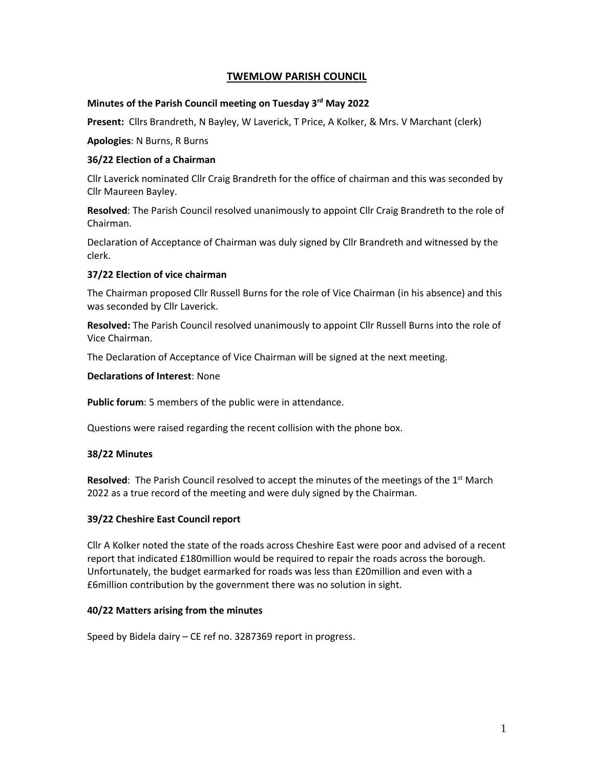# **TWEMLOW PARISH COUNCIL**

#### **Minutes of the Parish Council meeting on Tuesday 3 rd May 2022**

**Present:** Cllrs Brandreth, N Bayley, W Laverick, T Price, A Kolker, & Mrs. V Marchant (clerk)

**Apologies**: N Burns, R Burns

#### **36/22 Election of a Chairman**

Cllr Laverick nominated Cllr Craig Brandreth for the office of chairman and this was seconded by Cllr Maureen Bayley.

**Resolved**: The Parish Council resolved unanimously to appoint Cllr Craig Brandreth to the role of Chairman.

Declaration of Acceptance of Chairman was duly signed by Cllr Brandreth and witnessed by the clerk.

#### **37/22 Election of vice chairman**

The Chairman proposed Cllr Russell Burns for the role of Vice Chairman (in his absence) and this was seconded by Cllr Laverick.

**Resolved:** The Parish Council resolved unanimously to appoint Cllr Russell Burns into the role of Vice Chairman.

The Declaration of Acceptance of Vice Chairman will be signed at the next meeting.

**Declarations of Interest**: None

**Public forum**: 5 members of the public were in attendance.

Questions were raised regarding the recent collision with the phone box.

#### **38/22 Minutes**

Resolved: The Parish Council resolved to accept the minutes of the meetings of the 1<sup>st</sup> March 2022 as a true record of the meeting and were duly signed by the Chairman.

### **39/22 Cheshire East Council report**

Cllr A Kolker noted the state of the roads across Cheshire East were poor and advised of a recent report that indicated £180million would be required to repair the roads across the borough. Unfortunately, the budget earmarked for roads was less than £20million and even with a £6million contribution by the government there was no solution in sight.

### **40/22 Matters arising from the minutes**

Speed by Bidela dairy – CE ref no. 3287369 report in progress.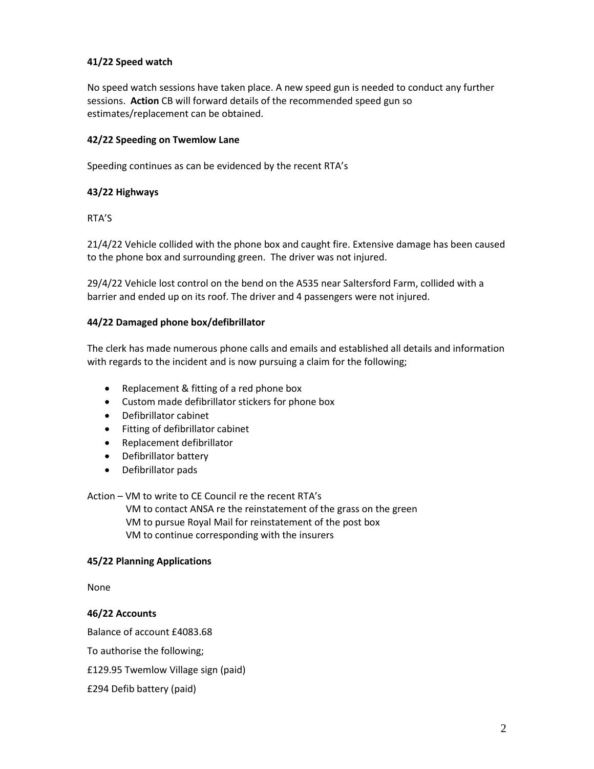# **41/22 Speed watch**

No speed watch sessions have taken place. A new speed gun is needed to conduct any further sessions. **Action** CB will forward details of the recommended speed gun so estimates/replacement can be obtained.

## **42/22 Speeding on Twemlow Lane**

Speeding continues as can be evidenced by the recent RTA's

### **43/22 Highways**

RTA'S

21/4/22 Vehicle collided with the phone box and caught fire. Extensive damage has been caused to the phone box and surrounding green. The driver was not injured.

29/4/22 Vehicle lost control on the bend on the A535 near Saltersford Farm, collided with a barrier and ended up on its roof. The driver and 4 passengers were not injured.

#### **44/22 Damaged phone box/defibrillator**

The clerk has made numerous phone calls and emails and established all details and information with regards to the incident and is now pursuing a claim for the following;

- Replacement & fitting of a red phone box
- Custom made defibrillator stickers for phone box
- Defibrillator cabinet
- Fitting of defibrillator cabinet
- Replacement defibrillator
- Defibrillator battery
- Defibrillator pads

Action – VM to write to CE Council re the recent RTA's

 VM to contact ANSA re the reinstatement of the grass on the green VM to pursue Royal Mail for reinstatement of the post box VM to continue corresponding with the insurers

#### **45/22 Planning Applications**

None

#### **46/22 Accounts**

Balance of account £4083.68

To authorise the following;

£129.95 Twemlow Village sign (paid)

£294 Defib battery (paid)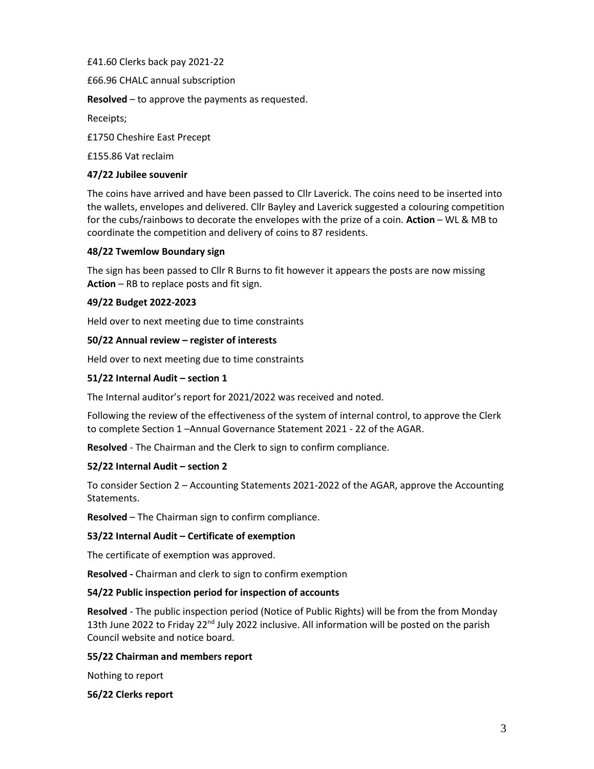£41.60 Clerks back pay 2021-22

£66.96 CHALC annual subscription

**Resolved** – to approve the payments as requested.

Receipts;

£1750 Cheshire East Precept

£155.86 Vat reclaim

## **47/22 Jubilee souvenir**

The coins have arrived and have been passed to Cllr Laverick. The coins need to be inserted into the wallets, envelopes and delivered. Cllr Bayley and Laverick suggested a colouring competition for the cubs/rainbows to decorate the envelopes with the prize of a coin. **Action** – WL & MB to coordinate the competition and delivery of coins to 87 residents.

# **48/22 Twemlow Boundary sign**

The sign has been passed to Cllr R Burns to fit however it appears the posts are now missing **Action** – RB to replace posts and fit sign.

# **49/22 Budget 2022-2023**

Held over to next meeting due to time constraints

### **50/22 Annual review – register of interests**

Held over to next meeting due to time constraints

### **51/22 Internal Audit – section 1**

The Internal auditor's report for 2021/2022 was received and noted.

Following the review of the effectiveness of the system of internal control, to approve the Clerk to complete Section 1 –Annual Governance Statement 2021 - 22 of the AGAR.

**Resolved** - The Chairman and the Clerk to sign to confirm compliance.

### **52/22 Internal Audit – section 2**

To consider Section 2 – Accounting Statements 2021-2022 of the AGAR, approve the Accounting Statements.

**Resolved** – The Chairman sign to confirm compliance.

### **53/22 Internal Audit – Certificate of exemption**

The certificate of exemption was approved.

**Resolved -** Chairman and clerk to sign to confirm exemption

### **54/22 Public inspection period for inspection of accounts**

**Resolved** - The public inspection period (Notice of Public Rights) will be from the from Monday 13th June 2022 to Friday 22<sup>nd</sup> July 2022 inclusive. All information will be posted on the parish Council website and notice board.

### **55/22 Chairman and members report**

Nothing to report

### **56/22 Clerks report**